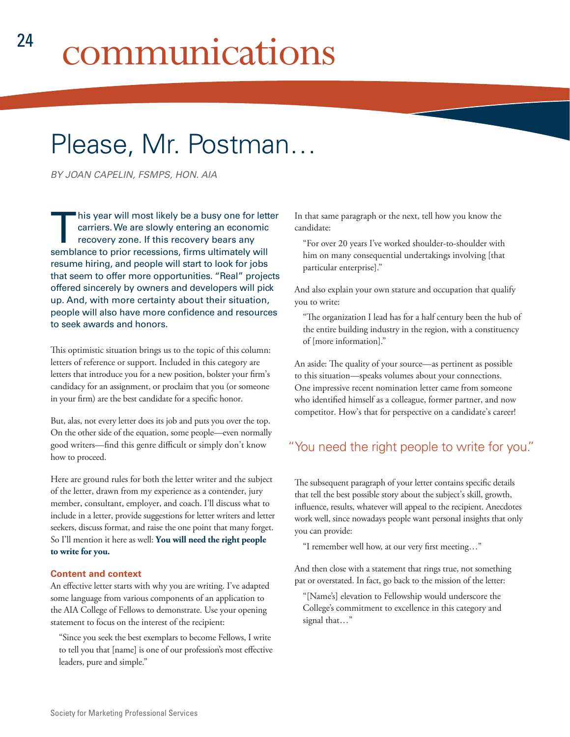# Please, Mr. Postman…

*BY JOAN CAPELIN, FSMPS, HON. AIA*

This year will most likely be a busy one for letter<br>carriers. We are slowly entering an economic<br>recovery zone. If this recovery bears any<br>combined to prior recognise firms ultimately will carriers. We are slowly entering an economic recovery zone. If this recovery bears any semblance to prior recessions, firms ultimately will resume hiring, and people will start to look for jobs that seem to offer more opportunities. "Real" projects offered sincerely by owners and developers will pick up. And, with more certainty about their situation, people will also have more confidence and resources to seek awards and honors.

This optimistic situation brings us to the topic of this column: letters of reference or support. Included in this category are letters that introduce you for a new position, bolster your firm's candidacy for an assignment, or proclaim that you (or someone in your firm) are the best candidate for a specific honor.

But, alas, not every letter does its job and puts you over the top. On the other side of the equation, some people—even normally good writers—find this genre difficult or simply don't know how to proceed.

Here are ground rules for both the letter writer and the subject of the letter, drawn from my experience as a contender, jury member, consultant, employer, and coach. I'll discuss what to include in a letter, provide suggestions for letter writers and letter seekers, discuss format, and raise the one point that many forget. So I'll mention it here as well: **You will need the right people to write for you.**

#### **Content and context**

An effective letter starts with why you are writing. I've adapted some language from various components of an application to the AIA College of Fellows to demonstrate. Use your opening statement to focus on the interest of the recipient:

"Since you seek the best exemplars to become Fellows, I write to tell you that [name] is one of our profession's most effective leaders, pure and simple."

In that same paragraph or the next, tell how you know the candidate:

"For over 20 years I've worked shoulder-to-shoulder with him on many consequential undertakings involving [that particular enterprise]."

And also explain your own stature and occupation that qualify you to write:

"The organization I lead has for a half century been the hub of the entire building industry in the region, with a constituency of [more information]."

An aside: The quality of your source—as pertinent as possible to this situation—speaks volumes about your connections. One impressive recent nomination letter came from someone who identified himself as a colleague, former partner, and now competitor. How's that for perspective on a candidate's career!

## "You need the right people to write for you."

The subsequent paragraph of your letter contains specific details that tell the best possible story about the subject's skill, growth, influence, results, whatever will appeal to the recipient. Anecdotes work well, since nowadays people want personal insights that only you can provide:

"I remember well how, at our very first meeting…"

And then close with a statement that rings true, not something pat or overstated. In fact, go back to the mission of the letter:

"[Name's] elevation to Fellowship would underscore the College's commitment to excellence in this category and signal that…"